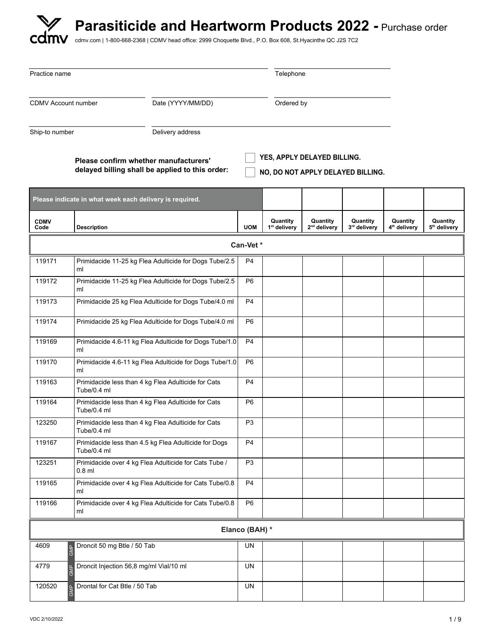| Practice name              |                                                                                          |                | Telephone                            |                                                                  |                          |                                      |                                      |
|----------------------------|------------------------------------------------------------------------------------------|----------------|--------------------------------------|------------------------------------------------------------------|--------------------------|--------------------------------------|--------------------------------------|
| <b>CDMV Account number</b> | Date (YYYY/MM/DD)                                                                        | Ordered by     |                                      |                                                                  |                          |                                      |                                      |
| Ship-to number             | Delivery address                                                                         |                |                                      |                                                                  |                          |                                      |                                      |
|                            | Please confirm whether manufacturers'<br>delayed billing shall be applied to this order: |                |                                      | YES, APPLY DELAYED BILLING.<br>NO, DO NOT APPLY DELAYED BILLING. |                          |                                      |                                      |
|                            | Please indicate in what week each delivery is required.                                  |                |                                      |                                                                  |                          |                                      |                                      |
| <b>CDMV</b><br>Code        | <b>Description</b>                                                                       | <b>UOM</b>     | Quantity<br>1 <sup>st</sup> delivery | Quantity<br>2 <sup>nd</sup> delivery                             | Quantity<br>3rd delivery | Quantity<br>4 <sup>th</sup> delivery | Quantity<br>5 <sup>th</sup> delivery |
|                            |                                                                                          | Can-Vet*       |                                      |                                                                  |                          |                                      |                                      |
| 119171                     | Primidacide 11-25 kg Flea Adulticide for Dogs Tube/2.5<br>ml                             | P <sub>4</sub> |                                      |                                                                  |                          |                                      |                                      |
| 119172                     | Primidacide 11-25 kg Flea Adulticide for Dogs Tube/2.5<br>ml                             | P <sub>6</sub> |                                      |                                                                  |                          |                                      |                                      |
| 119173                     | Primidacide 25 kg Flea Adulticide for Dogs Tube/4.0 ml                                   | P4             |                                      |                                                                  |                          |                                      |                                      |
| 119174                     | Primidacide 25 kg Flea Adulticide for Dogs Tube/4.0 ml                                   | P <sub>6</sub> |                                      |                                                                  |                          |                                      |                                      |
| 119169                     | Primidacide 4.6-11 kg Flea Adulticide for Dogs Tube/1.0<br>ml                            | P <sub>4</sub> |                                      |                                                                  |                          |                                      |                                      |
| 119170                     | Primidacide 4.6-11 kg Flea Adulticide for Dogs Tube/1.0<br>ml                            | P <sub>6</sub> |                                      |                                                                  |                          |                                      |                                      |
| 119163                     | Primidacide less than 4 kg Flea Adulticide for Cats<br>Tube/0.4 ml                       | P <sub>4</sub> |                                      |                                                                  |                          |                                      |                                      |
| 119164                     | Primidacide less than 4 kg Flea Adulticide for Cats<br>Tube/0.4 ml                       | P <sub>6</sub> |                                      |                                                                  |                          |                                      |                                      |
| 123250                     | Primidacide less than 4 kg Flea Adulticide for Cats<br>Tube/0.4 ml                       | P <sub>3</sub> |                                      |                                                                  |                          |                                      |                                      |
| 119167                     | Primidacide less than 4.5 kg Flea Adulticide for Dogs<br>Tube/0.4 ml                     | P <sub>4</sub> |                                      |                                                                  |                          |                                      |                                      |
| 123251                     | Primidacide over 4 kg Flea Adulticide for Cats Tube /<br>$0.8$ ml                        | P <sub>3</sub> |                                      |                                                                  |                          |                                      |                                      |
| 119165                     | Primidacide over 4 kg Flea Adulticide for Cats Tube/0.8<br>ml                            | P <sub>4</sub> |                                      |                                                                  |                          |                                      |                                      |
| 119166                     | Primidacide over 4 kg Flea Adulticide for Cats Tube/0.8<br>ml                            | P <sub>6</sub> |                                      |                                                                  |                          |                                      |                                      |
|                            |                                                                                          | Elanco (BAH) * |                                      |                                                                  |                          |                                      |                                      |
| 4609                       | Droncit 50 mg Btle / 50 Tab<br><b>GMP</b>                                                | UN             |                                      |                                                                  |                          |                                      |                                      |
| 4779                       | Droncit Injection 56,8 mg/ml Vial/10 ml                                                  | <b>UN</b>      |                                      |                                                                  |                          |                                      |                                      |
| 120520                     | Drontal for Cat Btle / 50 Tab                                                            | UN             |                                      |                                                                  |                          |                                      |                                      |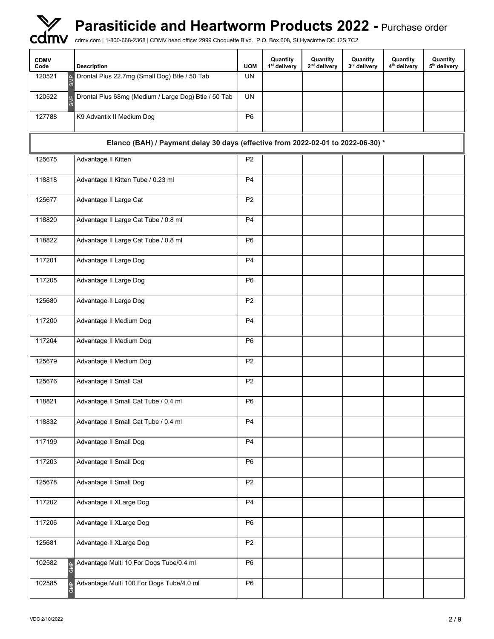| <b>CDMV</b><br>Code | <b>Description</b>                                                               | <b>UOM</b>     | Quantity<br>1 <sup>st</sup> delivery | Quantity<br>2 <sup>nd</sup> delivery | Quantity<br>3rd delivery | Quantity<br>4 <sup>th</sup> delivery | Quantity<br>5 <sup>th</sup> delivery |
|---------------------|----------------------------------------------------------------------------------|----------------|--------------------------------------|--------------------------------------|--------------------------|--------------------------------------|--------------------------------------|
| 120521<br>GMP       | Drontal Plus 22.7mg (Small Dog) Btle / 50 Tab                                    | <b>UN</b>      |                                      |                                      |                          |                                      |                                      |
| 120522              | Drontal Plus 68mg (Medium / Large Dog) Btle / 50 Tab                             | <b>UN</b>      |                                      |                                      |                          |                                      |                                      |
| 127788              | K9 Advantix II Medium Dog                                                        | P <sub>6</sub> |                                      |                                      |                          |                                      |                                      |
|                     | Elanco (BAH) / Payment delay 30 days (effective from 2022-02-01 to 2022-06-30) * |                |                                      |                                      |                          |                                      |                                      |
| 125675              | Advantage II Kitten                                                              | P <sub>2</sub> |                                      |                                      |                          |                                      |                                      |
| 118818              | Advantage II Kitten Tube / 0.23 ml                                               | P <sub>4</sub> |                                      |                                      |                          |                                      |                                      |
| 125677              | Advantage II Large Cat                                                           | P <sub>2</sub> |                                      |                                      |                          |                                      |                                      |
| 118820              | Advantage II Large Cat Tube / 0.8 ml                                             | P <sub>4</sub> |                                      |                                      |                          |                                      |                                      |
| 118822              | Advantage II Large Cat Tube / 0.8 ml                                             | P <sub>6</sub> |                                      |                                      |                          |                                      |                                      |
| 117201              | Advantage II Large Dog                                                           | P <sub>4</sub> |                                      |                                      |                          |                                      |                                      |
| 117205              | Advantage II Large Dog                                                           | P <sub>6</sub> |                                      |                                      |                          |                                      |                                      |
| 125680              | Advantage II Large Dog                                                           | P <sub>2</sub> |                                      |                                      |                          |                                      |                                      |
| 117200              | Advantage II Medium Dog                                                          | P <sub>4</sub> |                                      |                                      |                          |                                      |                                      |
| 117204              | Advantage II Medium Dog                                                          | P6             |                                      |                                      |                          |                                      |                                      |
| 125679              | Advantage II Medium Dog                                                          | P <sub>2</sub> |                                      |                                      |                          |                                      |                                      |
| 125676              | Advantage II Small Cat                                                           | P <sub>2</sub> |                                      |                                      |                          |                                      |                                      |
| 118821              | Advantage II Small Cat Tube / 0.4 ml                                             | P <sub>6</sub> |                                      |                                      |                          |                                      |                                      |
| 118832              | Advantage II Small Cat Tube / 0.4 ml                                             | P <sub>4</sub> |                                      |                                      |                          |                                      |                                      |
| 117199              | Advantage II Small Dog                                                           | P <sub>4</sub> |                                      |                                      |                          |                                      |                                      |
| 117203              | Advantage II Small Dog                                                           | P <sub>6</sub> |                                      |                                      |                          |                                      |                                      |
| 125678              | Advantage II Small Dog                                                           | P <sub>2</sub> |                                      |                                      |                          |                                      |                                      |
| 117202              | Advantage II XLarge Dog                                                          | P <sub>4</sub> |                                      |                                      |                          |                                      |                                      |
| 117206              | Advantage II XLarge Dog                                                          | P <sub>6</sub> |                                      |                                      |                          |                                      |                                      |
| 125681              | Advantage II XLarge Dog                                                          | P <sub>2</sub> |                                      |                                      |                          |                                      |                                      |
| 102582              | Advantage Multi 10 For Dogs Tube/0.4 ml                                          | P <sub>6</sub> |                                      |                                      |                          |                                      |                                      |
| 102585              | Advantage Multi 100 For Dogs Tube/4.0 ml                                         | P <sub>6</sub> |                                      |                                      |                          |                                      |                                      |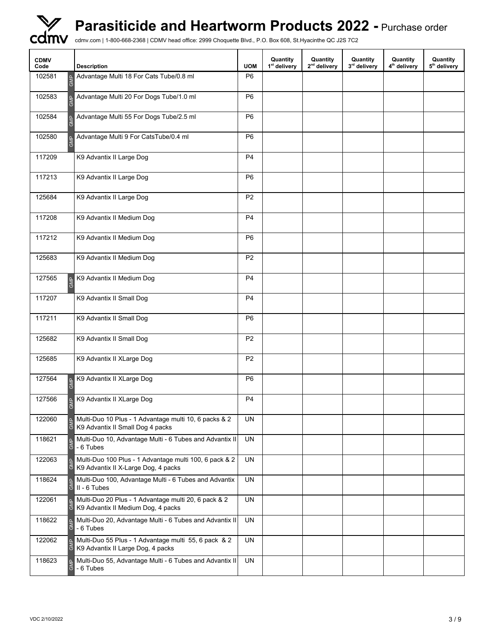

| <b>CDMV</b><br>Code | <b>Description</b>                                                                                   | <b>UOM</b>     | Quantity<br>1 <sup>st</sup> delivery | Quantity<br>2 <sup>nd</sup> delivery | Quantity<br>3rd delivery | Quantity<br>4 <sup>th</sup> delivery | Quantity<br>5 <sup>th</sup> delivery |
|---------------------|------------------------------------------------------------------------------------------------------|----------------|--------------------------------------|--------------------------------------|--------------------------|--------------------------------------|--------------------------------------|
| 102581              | Advantage Multi 18 For Cats Tube/0.8 ml                                                              | P <sub>6</sub> |                                      |                                      |                          |                                      |                                      |
| 102583              | Advantage Multi 20 For Dogs Tube/1.0 ml                                                              | P <sub>6</sub> |                                      |                                      |                          |                                      |                                      |
| 102584              | Advantage Multi 55 For Dogs Tube/2.5 ml                                                              | P <sub>6</sub> |                                      |                                      |                          |                                      |                                      |
| 102580              | Advantage Multi 9 For CatsTube/0.4 ml                                                                | P <sub>6</sub> |                                      |                                      |                          |                                      |                                      |
| 117209              | K9 Advantix II Large Dog                                                                             | P <sub>4</sub> |                                      |                                      |                          |                                      |                                      |
| 117213              | K9 Advantix II Large Dog                                                                             | P <sub>6</sub> |                                      |                                      |                          |                                      |                                      |
| 125684              | K9 Advantix II Large Dog                                                                             | P <sub>2</sub> |                                      |                                      |                          |                                      |                                      |
| 117208              | K9 Advantix II Medium Dog                                                                            | P <sub>4</sub> |                                      |                                      |                          |                                      |                                      |
| 117212              | K9 Advantix II Medium Dog                                                                            | P <sub>6</sub> |                                      |                                      |                          |                                      |                                      |
| 125683              | K9 Advantix II Medium Dog                                                                            | P <sub>2</sub> |                                      |                                      |                          |                                      |                                      |
| 127565              | K9 Advantix II Medium Dog<br>$\underline{\mathtt{o}}$<br>后                                           | P <sub>4</sub> |                                      |                                      |                          |                                      |                                      |
| 117207              | K9 Advantix II Small Dog                                                                             | P <sub>4</sub> |                                      |                                      |                          |                                      |                                      |
| 117211              | K9 Advantix II Small Dog                                                                             | P <sub>6</sub> |                                      |                                      |                          |                                      |                                      |
| 125682              | K9 Advantix II Small Dog                                                                             | P <sub>2</sub> |                                      |                                      |                          |                                      |                                      |
| 125685              | K9 Advantix II XLarge Dog                                                                            | P <sub>2</sub> |                                      |                                      |                          |                                      |                                      |
| 127564              | K9 Advantix II XLarge Dog<br>GMP                                                                     | P <sub>6</sub> |                                      |                                      |                          |                                      |                                      |
| 127566              | K9 Advantix II XLarge Dog<br>তি                                                                      | P <sub>4</sub> |                                      |                                      |                          |                                      |                                      |
| 122060              | Multi-Duo 10 Plus - 1 Advantage multi 10, 6 packs & 2<br>K9 Advantix II Small Dog 4 packs            | <b>UN</b>      |                                      |                                      |                          |                                      |                                      |
| 118621              | Multi-Duo 10, Advantage Multi - 6 Tubes and Advantix II<br>ర్<br>- 6 Tubes                           | <b>UN</b>      |                                      |                                      |                          |                                      |                                      |
| 122063              | Multi-Duo 100 Plus - 1 Advantage multi 100, 6 pack & 2<br>K9 Advantix II X-Large Dog, 4 packs        | UN             |                                      |                                      |                          |                                      |                                      |
| 118624              | Multi-Duo 100, Advantage Multi - 6 Tubes and Advantix<br>II - 6 Tubes<br>$\overline{\circ}$          | UN             |                                      |                                      |                          |                                      |                                      |
| 122061              | Multi-Duo 20 Plus - 1 Advantage multi 20, 6 pack & 2<br>K9 Advantix II Medium Dog, 4 packs<br>ত      | UN             |                                      |                                      |                          |                                      |                                      |
| 118622              | Multi-Duo 20, Advantage Multi - 6 Tubes and Advantix II<br>$\vert \tilde{\sigma} \vert$<br>- 6 Tubes | UN             |                                      |                                      |                          |                                      |                                      |
| 122062              | Multi-Duo 55 Plus - 1 Advantage multi 55, 6 pack & 2<br>K9 Advantix II Large Dog, 4 packs            | <b>UN</b>      |                                      |                                      |                          |                                      |                                      |
| 118623              | Multi-Duo 55, Advantage Multi - 6 Tubes and Advantix II<br>$rac{5}{6}$<br>- 6 Tubes                  | UN             |                                      |                                      |                          |                                      |                                      |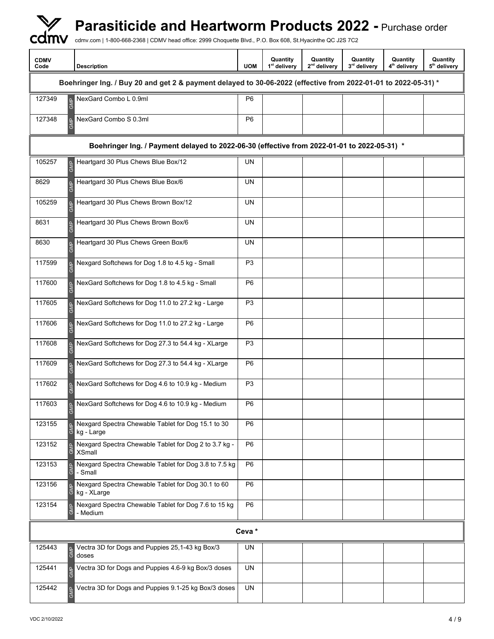| <b>CDMV</b><br>Code                                                                         | <b>Description</b>                                                                                             | <b>UOM</b>     | Quantity<br>1 <sup>st</sup> delivery | Quantity<br>2 <sup>nd</sup> delivery | Quantity<br>3rd delivery | Quantity<br>4 <sup>th</sup> delivery | Quantity<br>5 <sup>th</sup> delivery |  |
|---------------------------------------------------------------------------------------------|----------------------------------------------------------------------------------------------------------------|----------------|--------------------------------------|--------------------------------------|--------------------------|--------------------------------------|--------------------------------------|--|
|                                                                                             | Boehringer Ing. / Buy 20 and get 2 & payment delayed to 30-06-2022 (effective from 2022-01-01 to 2022-05-31) * |                |                                      |                                      |                          |                                      |                                      |  |
| 127349                                                                                      | NexGard Combo L 0.9ml                                                                                          | P <sub>6</sub> |                                      |                                      |                          |                                      |                                      |  |
| 127348                                                                                      | NexGard Combo S 0.3ml                                                                                          | P <sub>6</sub> |                                      |                                      |                          |                                      |                                      |  |
| Boehringer Ing. / Payment delayed to 2022-06-30 (effective from 2022-01-01 to 2022-05-31) * |                                                                                                                |                |                                      |                                      |                          |                                      |                                      |  |
| 105257                                                                                      | Heartgard 30 Plus Chews Blue Box/12<br>$\underline{\mathtt{o}}$                                                | <b>UN</b>      |                                      |                                      |                          |                                      |                                      |  |
| 8629                                                                                        | Heartgard 30 Plus Chews Blue Box/6                                                                             | <b>UN</b>      |                                      |                                      |                          |                                      |                                      |  |
| 105259                                                                                      | Heartgard 30 Plus Chews Brown Box/12                                                                           | <b>UN</b>      |                                      |                                      |                          |                                      |                                      |  |
| 8631                                                                                        | Heartgard 30 Plus Chews Brown Box/6                                                                            | UN             |                                      |                                      |                          |                                      |                                      |  |
| 8630                                                                                        | Heartgard 30 Plus Chews Green Box/6                                                                            | UN             |                                      |                                      |                          |                                      |                                      |  |
| 117599                                                                                      | Nexgard Softchews for Dog 1.8 to 4.5 kg - Small                                                                | P <sub>3</sub> |                                      |                                      |                          |                                      |                                      |  |
| 117600                                                                                      | NexGard Softchews for Dog 1.8 to 4.5 kg - Small                                                                | P <sub>6</sub> |                                      |                                      |                          |                                      |                                      |  |
| 117605                                                                                      | NexGard Softchews for Dog 11.0 to 27.2 kg - Large                                                              | P <sub>3</sub> |                                      |                                      |                          |                                      |                                      |  |
| 117606                                                                                      | NexGard Softchews for Dog 11.0 to 27.2 kg - Large                                                              | P <sub>6</sub> |                                      |                                      |                          |                                      |                                      |  |
| 117608                                                                                      | NexGard Softchews for Dog 27.3 to 54.4 kg - XLarge                                                             | P <sub>3</sub> |                                      |                                      |                          |                                      |                                      |  |
| 117609                                                                                      | NexGard Softchews for Dog 27.3 to 54.4 kg - XLarge                                                             | P <sub>6</sub> |                                      |                                      |                          |                                      |                                      |  |
| 117602                                                                                      | NexGard Softchews for Dog 4.6 to 10.9 kg - Medium                                                              | P <sub>3</sub> |                                      |                                      |                          |                                      |                                      |  |
| 117603                                                                                      | NexGard Softchews for Dog 4.6 to 10.9 kg - Medium<br>$\overline{\circ}$                                        | P <sub>6</sub> |                                      |                                      |                          |                                      |                                      |  |
| 123155                                                                                      | Nexgard Spectra Chewable Tablet for Dog 15.1 to 30<br>kg - Large                                               | P <sub>6</sub> |                                      |                                      |                          |                                      |                                      |  |
| 123152                                                                                      | Nexgard Spectra Chewable Tablet for Dog 2 to 3.7 kg -<br>ఠే<br><b>XSmall</b>                                   | P <sub>6</sub> |                                      |                                      |                          |                                      |                                      |  |
| 123153                                                                                      | Nexgard Spectra Chewable Tablet for Dog 3.8 to 7.5 kg<br>õ<br>- Small                                          | P <sub>6</sub> |                                      |                                      |                          |                                      |                                      |  |
| 123156                                                                                      | Nexgard Spectra Chewable Tablet for Dog 30.1 to 60<br>kg - XLarge                                              | P <sub>6</sub> |                                      |                                      |                          |                                      |                                      |  |
| 123154                                                                                      | Nexgard Spectra Chewable Tablet for Dog 7.6 to 15 kg<br>ල්<br>- Medium                                         | P <sub>6</sub> |                                      |                                      |                          |                                      |                                      |  |
|                                                                                             |                                                                                                                | Ceva*          |                                      |                                      |                          |                                      |                                      |  |
| 125443                                                                                      | Vectra 3D for Dogs and Puppies 25,1-43 kg Box/3<br><b>GMP</b><br>doses                                         | UN             |                                      |                                      |                          |                                      |                                      |  |
| 125441                                                                                      | Vectra 3D for Dogs and Puppies 4.6-9 kg Box/3 doses                                                            | UN             |                                      |                                      |                          |                                      |                                      |  |
| 125442                                                                                      | Vectra 3D for Dogs and Puppies 9.1-25 kg Box/3 doses<br><b>GMP</b>                                             | UN             |                                      |                                      |                          |                                      |                                      |  |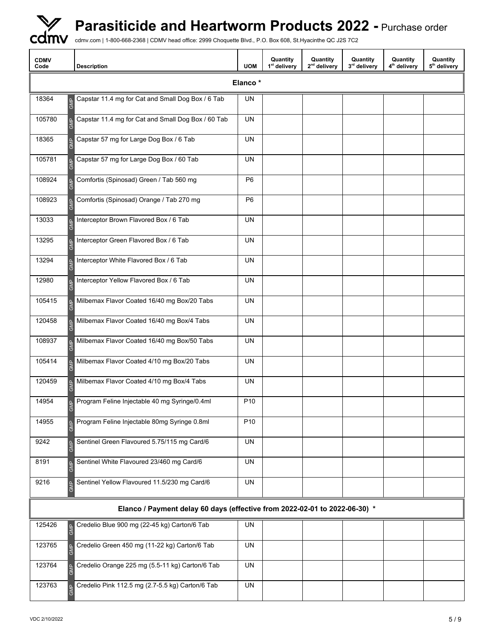

| <b>CDMV</b><br>Code                  | <b>Description</b>                                                         | <b>UOM</b>      | Quantity<br>1 <sup>st</sup> delivery | Quantity<br>2 <sup>nd</sup> delivery | Quantity<br>3rd delivery | Quantity<br>4 <sup>th</sup> delivery | Quantity<br>5 <sup>th</sup> delivery |
|--------------------------------------|----------------------------------------------------------------------------|-----------------|--------------------------------------|--------------------------------------|--------------------------|--------------------------------------|--------------------------------------|
|                                      |                                                                            | Elanco*         |                                      |                                      |                          |                                      |                                      |
| 18364<br>$\mathcal{S}^{\mathcal{S}}$ | Capstar 11.4 mg for Cat and Small Dog Box / 6 Tab                          | UN              |                                      |                                      |                          |                                      |                                      |
| 105780                               | Capstar 11.4 mg for Cat and Small Dog Box / 60 Tab                         | <b>UN</b>       |                                      |                                      |                          |                                      |                                      |
| 18365                                | Capstar 57 mg for Large Dog Box / 6 Tab                                    | UN              |                                      |                                      |                          |                                      |                                      |
| 105781                               | Capstar 57 mg for Large Dog Box / 60 Tab                                   | UN              |                                      |                                      |                          |                                      |                                      |
| 108924                               | Comfortis (Spinosad) Green / Tab 560 mg                                    | P <sub>6</sub>  |                                      |                                      |                          |                                      |                                      |
| 108923                               | Comfortis (Spinosad) Orange / Tab 270 mg                                   | P <sub>6</sub>  |                                      |                                      |                          |                                      |                                      |
| 13033                                | Interceptor Brown Flavored Box / 6 Tab                                     | <b>UN</b>       |                                      |                                      |                          |                                      |                                      |
| 13295                                | Interceptor Green Flavored Box / 6 Tab                                     | <b>UN</b>       |                                      |                                      |                          |                                      |                                      |
| 13294                                | Interceptor White Flavored Box / 6 Tab                                     | UN              |                                      |                                      |                          |                                      |                                      |
| 12980                                | Interceptor Yellow Flavored Box / 6 Tab                                    | UN              |                                      |                                      |                          |                                      |                                      |
| 105415                               | Milbemax Flavor Coated 16/40 mg Box/20 Tabs                                | <b>UN</b>       |                                      |                                      |                          |                                      |                                      |
| 120458                               | Milbemax Flavor Coated 16/40 mg Box/4 Tabs                                 | UN              |                                      |                                      |                          |                                      |                                      |
| 108937                               | Milbemax Flavor Coated 16/40 mg Box/50 Tabs                                | UN              |                                      |                                      |                          |                                      |                                      |
| 105414                               | Milbemax Flavor Coated 4/10 mg Box/20 Tabs                                 | <b>UN</b>       |                                      |                                      |                          |                                      |                                      |
| 120459                               | Milbemax Flavor Coated 4/10 mg Box/4 Tabs                                  | UN              |                                      |                                      |                          |                                      |                                      |
| 14954                                | Program Feline Injectable 40 mg Syringe/0.4ml                              | P <sub>10</sub> |                                      |                                      |                          |                                      |                                      |
| 14955                                | Program Feline Injectable 80mg Syringe 0.8ml                               | P <sub>10</sub> |                                      |                                      |                          |                                      |                                      |
| 9242                                 | Sentinel Green Flavoured 5.75/115 mg Card/6                                | <b>UN</b>       |                                      |                                      |                          |                                      |                                      |
| 8191                                 | Sentinel White Flavoured 23/460 mg Card/6                                  | <b>UN</b>       |                                      |                                      |                          |                                      |                                      |
| 9216                                 | Sentinel Yellow Flavoured 11.5/230 mg Card/6                               | <b>UN</b>       |                                      |                                      |                          |                                      |                                      |
|                                      | Elanco / Payment delay 60 days (effective from 2022-02-01 to 2022-06-30) * |                 |                                      |                                      |                          |                                      |                                      |
| 125426                               | Credelio Blue 900 mg (22-45 kg) Carton/6 Tab                               | UN              |                                      |                                      |                          |                                      |                                      |
| 123765                               | Credelio Green 450 mg (11-22 kg) Carton/6 Tab                              | <b>UN</b>       |                                      |                                      |                          |                                      |                                      |
| 123764                               | Credelio Orange 225 mg (5.5-11 kg) Carton/6 Tab                            | UN              |                                      |                                      |                          |                                      |                                      |
| 123763                               | Credelio Pink 112.5 mg (2.7-5.5 kg) Carton/6 Tab                           | UN              |                                      |                                      |                          |                                      |                                      |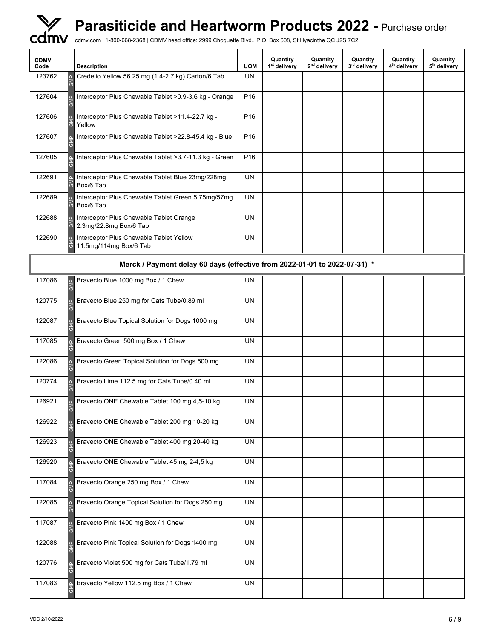

| <b>CDMV</b><br>Code                | <b>Description</b>                                                        | <b>UOM</b>      | Quantity<br>1 <sup>st</sup> delivery | Quantity<br>2 <sup>nd</sup> delivery | Quantity<br>3rd delivery | Quantity<br>4 <sup>th</sup> delivery | Quantity<br>5 <sup>th</sup> delivery |
|------------------------------------|---------------------------------------------------------------------------|-----------------|--------------------------------------|--------------------------------------|--------------------------|--------------------------------------|--------------------------------------|
| 123762                             | Credelio Yellow 56.25 mg (1.4-2.7 kg) Carton/6 Tab                        | UN              |                                      |                                      |                          |                                      |                                      |
| 127604                             | Interceptor Plus Chewable Tablet > 0.9-3.6 kg - Orange                    | P <sub>16</sub> |                                      |                                      |                          |                                      |                                      |
| 127606                             | Interceptor Plus Chewable Tablet >11.4-22.7 kg -<br>Yellow                | P <sub>16</sub> |                                      |                                      |                          |                                      |                                      |
| 127607                             | Interceptor Plus Chewable Tablet >22.8-45.4 kg - Blue                     | P <sub>16</sub> |                                      |                                      |                          |                                      |                                      |
| 127605                             | Interceptor Plus Chewable Tablet > 3.7-11.3 kg - Green                    | P <sub>16</sub> |                                      |                                      |                          |                                      |                                      |
| 122691                             | Interceptor Plus Chewable Tablet Blue 23mg/228mg<br>Box/6 Tab             | <b>UN</b>       |                                      |                                      |                          |                                      |                                      |
| 122689                             | Interceptor Plus Chewable Tablet Green 5.75mg/57mg<br>Box/6 Tab           | <b>UN</b>       |                                      |                                      |                          |                                      |                                      |
| 122688                             | Interceptor Plus Chewable Tablet Orange<br>2.3mg/22.8mg Box/6 Tab         | <b>UN</b>       |                                      |                                      |                          |                                      |                                      |
| 122690<br>$\overline{\circ}$       | Interceptor Plus Chewable Tablet Yellow<br>11.5mg/114mg Box/6 Tab         | UN              |                                      |                                      |                          |                                      |                                      |
|                                    | Merck / Payment delay 60 days (effective from 2022-01-01 to 2022-07-31) * |                 |                                      |                                      |                          |                                      |                                      |
| 117086<br>$\underline{\mathtt{o}}$ | Bravecto Blue 1000 mg Box / 1 Chew                                        | UN              |                                      |                                      |                          |                                      |                                      |
| 120775                             | Bravecto Blue 250 mg for Cats Tube/0.89 ml                                | UN              |                                      |                                      |                          |                                      |                                      |
| 122087                             | Bravecto Blue Topical Solution for Dogs 1000 mg                           | UN              |                                      |                                      |                          |                                      |                                      |
| 117085                             | Bravecto Green 500 mg Box / 1 Chew                                        | <b>UN</b>       |                                      |                                      |                          |                                      |                                      |
| 122086                             | Bravecto Green Topical Solution for Dogs 500 mg                           | <b>UN</b>       |                                      |                                      |                          |                                      |                                      |
| 120774                             | Bravecto Lime 112.5 mg for Cats Tube/0.40 ml                              | UN              |                                      |                                      |                          |                                      |                                      |
| 126921                             | Bravecto ONE Chewable Tablet 100 mg 4,5-10 kg                             | <b>UN</b>       |                                      |                                      |                          |                                      |                                      |
| 126922                             | Bravecto ONE Chewable Tablet 200 mg 10-20 kg                              | UN              |                                      |                                      |                          |                                      |                                      |
| 126923                             | Bravecto ONE Chewable Tablet 400 mg 20-40 kg                              | UN              |                                      |                                      |                          |                                      |                                      |
| 126920                             | Bravecto ONE Chewable Tablet 45 mg 2-4,5 kg                               | <b>UN</b>       |                                      |                                      |                          |                                      |                                      |
| 117084                             | Bravecto Orange 250 mg Box / 1 Chew                                       | <b>UN</b>       |                                      |                                      |                          |                                      |                                      |
| 122085                             | Bravecto Orange Topical Solution for Dogs 250 mg                          | UN              |                                      |                                      |                          |                                      |                                      |
| 117087                             | Bravecto Pink 1400 mg Box / 1 Chew                                        | UN              |                                      |                                      |                          |                                      |                                      |
| 122088                             | Bravecto Pink Topical Solution for Dogs 1400 mg                           | UN              |                                      |                                      |                          |                                      |                                      |
| 120776                             | Bravecto Violet 500 mg for Cats Tube/1.79 ml                              | UN              |                                      |                                      |                          |                                      |                                      |
| 117083                             | Bravecto Yellow 112.5 mg Box / 1 Chew                                     | UN              |                                      |                                      |                          |                                      |                                      |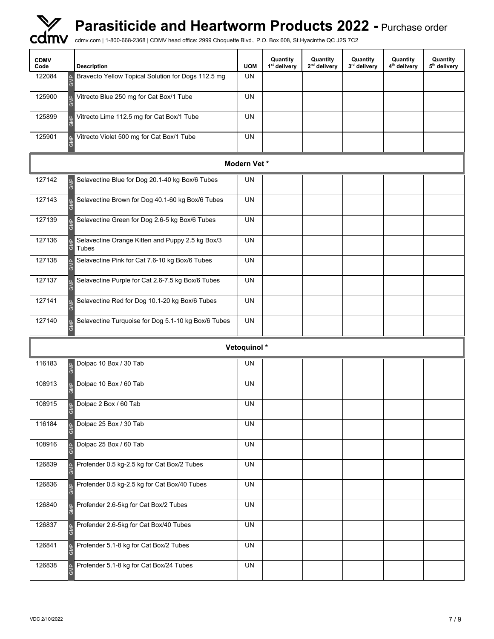

| <b>CDMV</b><br>Code | <b>Description</b>                                        | <b>UOM</b>  | Quantity<br>1 <sup>st</sup> delivery | Quantity<br>2 <sup>nd</sup> delivery | Quantity<br>3rd delivery | Quantity<br>4 <sup>th</sup> delivery | Quantity<br>5 <sup>th</sup> delivery |
|---------------------|-----------------------------------------------------------|-------------|--------------------------------------|--------------------------------------|--------------------------|--------------------------------------|--------------------------------------|
| 122084              | Bravecto Yellow Topical Solution for Dogs 112.5 mg        | <b>UN</b>   |                                      |                                      |                          |                                      |                                      |
| 125900              | Vitrecto Blue 250 mg for Cat Box/1 Tube                   | <b>UN</b>   |                                      |                                      |                          |                                      |                                      |
| 125899              | Vitrecto Lime 112.5 mg for Cat Box/1 Tube                 | UN          |                                      |                                      |                          |                                      |                                      |
| 125901              | Vitrecto Violet 500 mg for Cat Box/1 Tube                 | <b>UN</b>   |                                      |                                      |                          |                                      |                                      |
|                     |                                                           | Modern Vet* |                                      |                                      |                          |                                      |                                      |
| 127142              | Selavectine Blue for Dog 20.1-40 kg Box/6 Tubes<br>É      | UN          |                                      |                                      |                          |                                      |                                      |
| 127143              | Selavectine Brown for Dog 40.1-60 kg Box/6 Tubes          | <b>UN</b>   |                                      |                                      |                          |                                      |                                      |
| 127139              | Selavectine Green for Dog 2.6-5 kg Box/6 Tubes            | UN          |                                      |                                      |                          |                                      |                                      |
| 127136              | Selavectine Orange Kitten and Puppy 2.5 kg Box/3<br>Tubes | <b>UN</b>   |                                      |                                      |                          |                                      |                                      |
| 127138              | Selavectine Pink for Cat 7.6-10 kg Box/6 Tubes            | UN          |                                      |                                      |                          |                                      |                                      |
| 127137              | Selavectine Purple for Cat 2.6-7.5 kg Box/6 Tubes         | <b>UN</b>   |                                      |                                      |                          |                                      |                                      |
| 127141              | Selavectine Red for Dog 10.1-20 kg Box/6 Tubes            | UN          |                                      |                                      |                          |                                      |                                      |
| 127140              | Selavectine Turquoise for Dog 5.1-10 kg Box/6 Tubes       | UN          |                                      |                                      |                          |                                      |                                      |
|                     |                                                           | Vetoquinol* |                                      |                                      |                          |                                      |                                      |
| 116183              | Dolpac 10 Box / 30 Tab<br>$\overline{\epsilon}$           | UN          |                                      |                                      |                          |                                      |                                      |
| 108913              | Dolpac 10 Box / 60 Tab                                    | <b>UN</b>   |                                      |                                      |                          |                                      |                                      |
| 108915              | Dolpac 2 Box / 60 Tab<br>$\overline{\circ}$               | <b>UN</b>   |                                      |                                      |                          |                                      |                                      |
| 116184              | Dolpac 25 Box / 30 Tab                                    | <b>UN</b>   |                                      |                                      |                          |                                      |                                      |
| 108916              | Dolpac 25 Box / 60 Tab                                    | UN          |                                      |                                      |                          |                                      |                                      |
| 126839              | Profender 0.5 kg-2.5 kg for Cat Box/2 Tubes               | UN          |                                      |                                      |                          |                                      |                                      |
| 126836              | Profender 0.5 kg-2.5 kg for Cat Box/40 Tubes              | <b>UN</b>   |                                      |                                      |                          |                                      |                                      |
| 126840              | Profender 2.6-5kg for Cat Box/2 Tubes                     | UN          |                                      |                                      |                          |                                      |                                      |
| 126837              | Profender 2.6-5kg for Cat Box/40 Tubes                    | UN          |                                      |                                      |                          |                                      |                                      |
| 126841              | Profender 5.1-8 kg for Cat Box/2 Tubes                    | <b>UN</b>   |                                      |                                      |                          |                                      |                                      |
| 126838              | Profender 5.1-8 kg for Cat Box/24 Tubes                   | UN          |                                      |                                      |                          |                                      |                                      |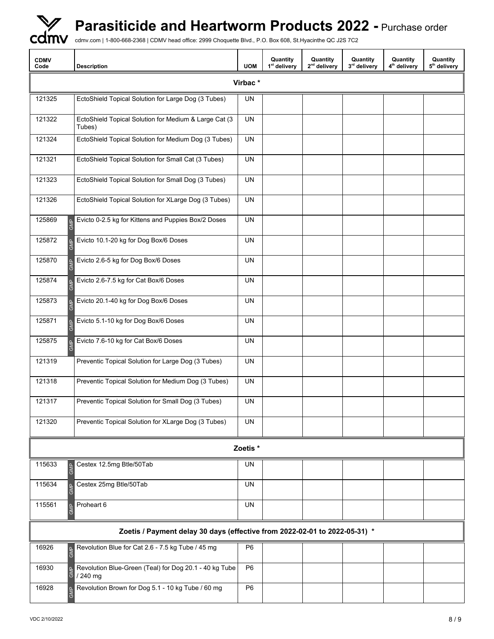

| <b>CDMV</b><br>Code                | <b>Description</b>                                                         | <b>UOM</b>     | Quantity<br>1 <sup>st</sup> delivery | Quantity<br>2 <sup>nd</sup> delivery | Quantity<br>3rd delivery | Quantity<br>4 <sup>th</sup> delivery | Quantity<br>5 <sup>th</sup> delivery |  |  |  |
|------------------------------------|----------------------------------------------------------------------------|----------------|--------------------------------------|--------------------------------------|--------------------------|--------------------------------------|--------------------------------------|--|--|--|
|                                    |                                                                            | Virbac*        |                                      |                                      |                          |                                      |                                      |  |  |  |
| 121325                             | EctoShield Topical Solution for Large Dog (3 Tubes)                        | UN             |                                      |                                      |                          |                                      |                                      |  |  |  |
| 121322                             | EctoShield Topical Solution for Medium & Large Cat (3<br>Tubes)            | <b>UN</b>      |                                      |                                      |                          |                                      |                                      |  |  |  |
| 121324                             | EctoShield Topical Solution for Medium Dog (3 Tubes)                       | <b>UN</b>      |                                      |                                      |                          |                                      |                                      |  |  |  |
| 121321                             | EctoShield Topical Solution for Small Cat (3 Tubes)                        | <b>UN</b>      |                                      |                                      |                          |                                      |                                      |  |  |  |
| 121323                             | EctoShield Topical Solution for Small Dog (3 Tubes)                        | UN             |                                      |                                      |                          |                                      |                                      |  |  |  |
| 121326                             | EctoShield Topical Solution for XLarge Dog (3 Tubes)                       | <b>UN</b>      |                                      |                                      |                          |                                      |                                      |  |  |  |
| 125869<br>$\underline{\mathtt{o}}$ | Evicto 0-2.5 kg for Kittens and Puppies Box/2 Doses                        | <b>UN</b>      |                                      |                                      |                          |                                      |                                      |  |  |  |
| 125872                             | Evicto 10.1-20 kg for Dog Box/6 Doses                                      | UN             |                                      |                                      |                          |                                      |                                      |  |  |  |
| 125870                             | Evicto 2.6-5 kg for Dog Box/6 Doses                                        | UN             |                                      |                                      |                          |                                      |                                      |  |  |  |
| 125874                             | Evicto 2.6-7.5 kg for Cat Box/6 Doses                                      | UN             |                                      |                                      |                          |                                      |                                      |  |  |  |
| 125873                             | Evicto 20.1-40 kg for Dog Box/6 Doses                                      | UN             |                                      |                                      |                          |                                      |                                      |  |  |  |
| 125871                             | Evicto 5.1-10 kg for Dog Box/6 Doses                                       | UN             |                                      |                                      |                          |                                      |                                      |  |  |  |
| 125875                             | Evicto 7.6-10 kg for Cat Box/6 Doses                                       | UN             |                                      |                                      |                          |                                      |                                      |  |  |  |
| 121319                             | Preventic Topical Solution for Large Dog (3 Tubes)                         | UN             |                                      |                                      |                          |                                      |                                      |  |  |  |
| 121318                             | Preventic Topical Solution for Medium Dog (3 Tubes)                        | <b>UN</b>      |                                      |                                      |                          |                                      |                                      |  |  |  |
| 121317                             | Preventic Topical Solution for Small Dog (3 Tubes)                         | UN             |                                      |                                      |                          |                                      |                                      |  |  |  |
| 121320                             | Preventic Topical Solution for XLarge Dog (3 Tubes)                        | UN             |                                      |                                      |                          |                                      |                                      |  |  |  |
|                                    | ত<br>Zoetis*<br>Cestex 12.5mg Btle/50Tab<br>UN<br><b>GMP</b>               |                |                                      |                                      |                          |                                      |                                      |  |  |  |
| 115633                             |                                                                            |                |                                      |                                      |                          |                                      |                                      |  |  |  |
| 115634                             | Cestex 25mg Btle/50Tab                                                     | UN             |                                      |                                      |                          |                                      |                                      |  |  |  |
| 115561                             | Proheart 6                                                                 | <b>UN</b>      |                                      |                                      |                          |                                      |                                      |  |  |  |
|                                    | Zoetis / Payment delay 30 days (effective from 2022-02-01 to 2022-05-31) * |                |                                      |                                      |                          |                                      |                                      |  |  |  |
| 16926                              | Revolution Blue for Cat 2.6 - 7.5 kg Tube / 45 mg                          | P <sub>6</sub> |                                      |                                      |                          |                                      |                                      |  |  |  |
| 16930                              | Revolution Blue-Green (Teal) for Dog 20.1 - 40 kg Tube<br>/240 mg<br>ত     | P <sub>6</sub> |                                      |                                      |                          |                                      |                                      |  |  |  |
| 16928                              | Revolution Brown for Dog 5.1 - 10 kg Tube / 60 mg                          | P <sub>6</sub> |                                      |                                      |                          |                                      |                                      |  |  |  |